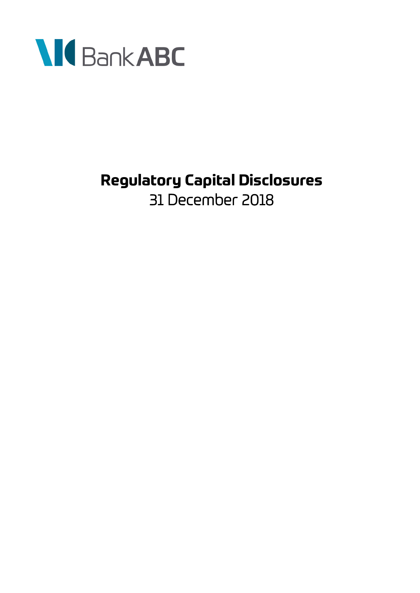

# **Regulatory Capital Disclosures**  31 December 2018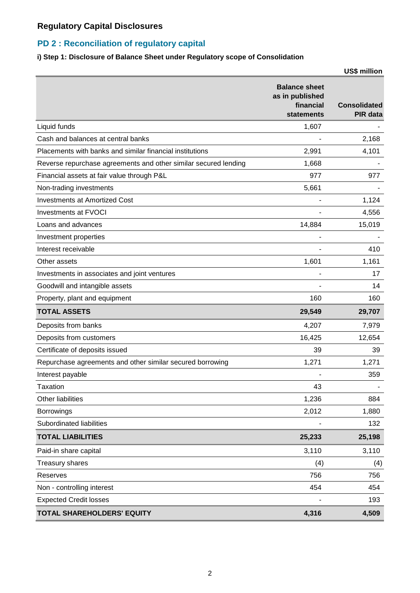### **PD 2 : Reconciliation of regulatory capital**

### **i) Step 1: Disclosure of Balance Sheet under Regulatory scope of Consolidation**

|                                                                 |                                                                    | <b>US\$ million</b>                    |
|-----------------------------------------------------------------|--------------------------------------------------------------------|----------------------------------------|
|                                                                 | <b>Balance sheet</b><br>as in published<br>financial<br>statements | <b>Consolidated</b><br><b>PIR</b> data |
| Liquid funds                                                    | 1,607                                                              |                                        |
| Cash and balances at central banks                              |                                                                    | 2,168                                  |
| Placements with banks and similar financial institutions        | 2,991                                                              | 4,101                                  |
| Reverse repurchase agreements and other similar secured lending | 1,668                                                              |                                        |
| Financial assets at fair value through P&L                      | 977                                                                | 977                                    |
| Non-trading investments                                         | 5,661                                                              |                                        |
| <b>Investments at Amortized Cost</b>                            |                                                                    | 1,124                                  |
| Investments at FVOCI                                            |                                                                    | 4,556                                  |
| Loans and advances                                              | 14,884                                                             | 15,019                                 |
| Investment properties                                           | $\blacksquare$                                                     |                                        |
| Interest receivable                                             |                                                                    | 410                                    |
| Other assets                                                    | 1,601                                                              | 1,161                                  |
| Investments in associates and joint ventures                    |                                                                    | 17                                     |
| Goodwill and intangible assets                                  |                                                                    | 14                                     |
| Property, plant and equipment                                   | 160                                                                | 160                                    |
| <b>TOTAL ASSETS</b>                                             | 29,549                                                             | 29,707                                 |
| Deposits from banks                                             | 4,207                                                              | 7,979                                  |
| Deposits from customers                                         | 16,425                                                             | 12,654                                 |
| Certificate of deposits issued                                  | 39                                                                 | 39                                     |
| Repurchase agreements and other similar secured borrowing       | 1,271                                                              | 1,271                                  |
| Interest payable                                                |                                                                    | 359                                    |
| <b>Taxation</b>                                                 | 43                                                                 |                                        |
| <b>Other liabilities</b>                                        | 1,236                                                              | 884                                    |
| Borrowings                                                      | 2,012                                                              | 1,880                                  |
| Subordinated liabilities                                        |                                                                    | 132                                    |
| <b>TOTAL LIABILITIES</b>                                        | 25,233                                                             | 25,198                                 |
| Paid-in share capital                                           | 3,110                                                              | 3,110                                  |
| <b>Treasury shares</b>                                          | (4)                                                                | (4)                                    |
| Reserves                                                        | 756                                                                | 756                                    |
| Non - controlling interest                                      | 454                                                                | 454                                    |
| <b>Expected Credit losses</b>                                   |                                                                    | 193                                    |
| TOTAL SHAREHOLDERS' EQUITY                                      | 4,316                                                              | 4,509                                  |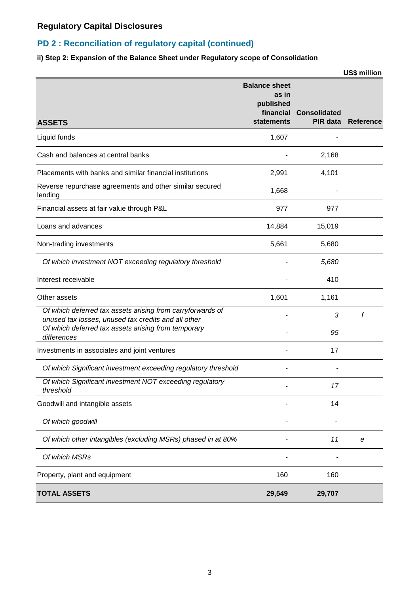### **PD 2 : Reconciliation of regulatory capital (continued)**

### **ii) Step 2: Expansion of the Balance Sheet under Regulatory scope of Consolidation**

|                                                                                                                   |                                                                       |                                 | US\$ million              |
|-------------------------------------------------------------------------------------------------------------------|-----------------------------------------------------------------------|---------------------------------|---------------------------|
| <b>ASSETS</b>                                                                                                     | <b>Balance sheet</b><br>as in<br>published<br>financial<br>statements | <b>Consolidated</b><br>PIR data | <b>Reference</b>          |
| Liquid funds                                                                                                      | 1,607                                                                 |                                 |                           |
| Cash and balances at central banks                                                                                |                                                                       | 2,168                           |                           |
| Placements with banks and similar financial institutions                                                          | 2,991                                                                 | 4,101                           |                           |
| Reverse repurchase agreements and other similar secured<br>lending                                                | 1,668                                                                 |                                 |                           |
| Financial assets at fair value through P&L                                                                        | 977                                                                   | 977                             |                           |
| Loans and advances                                                                                                | 14,884                                                                | 15,019                          |                           |
| Non-trading investments                                                                                           | 5,661                                                                 | 5,680                           |                           |
| Of which investment NOT exceeding regulatory threshold                                                            |                                                                       | 5,680                           |                           |
| Interest receivable                                                                                               |                                                                       | 410                             |                           |
| Other assets                                                                                                      | 1,601                                                                 | 1,161                           |                           |
| Of which deferred tax assets arising from carryforwards of<br>unused tax losses, unused tax credits and all other |                                                                       | 3                               | f                         |
| Of which deferred tax assets arising from temporary<br>differences                                                |                                                                       | 95                              |                           |
| Investments in associates and joint ventures                                                                      |                                                                       | 17                              |                           |
| Of which Significant investment exceeding regulatory threshold                                                    |                                                                       |                                 |                           |
| Of which Significant investment NOT exceeding regulatory<br>threshold                                             |                                                                       | 17                              |                           |
| Goodwill and intangible assets                                                                                    |                                                                       | 14                              |                           |
| Of which goodwill                                                                                                 |                                                                       |                                 |                           |
| Of which other intangibles (excluding MSRs) phased in at 80%                                                      |                                                                       | 11                              | $\boldsymbol{\mathsf{e}}$ |
| Of which MSRs                                                                                                     |                                                                       |                                 |                           |
| Property, plant and equipment                                                                                     | 160                                                                   | 160                             |                           |
| <b>TOTAL ASSETS</b>                                                                                               | 29,549                                                                | 29,707                          |                           |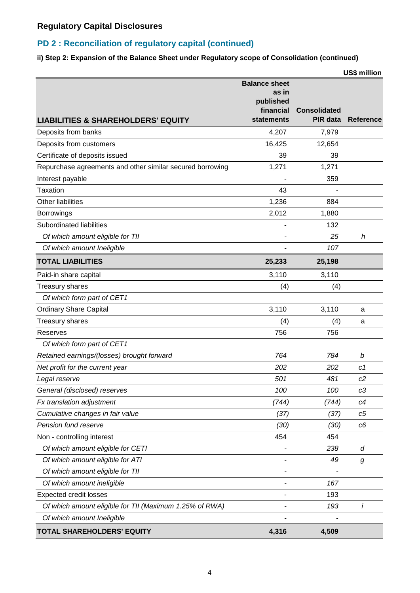### **PD 2 : Reconciliation of regulatory capital (continued)**

#### **ii) Step 2: Expansion of the Balance Sheet under Regulatory scope of Consolidation (continued)**

|                                                           |                                                                       |                                        | US\$ million     |
|-----------------------------------------------------------|-----------------------------------------------------------------------|----------------------------------------|------------------|
| <b>LIABILITIES &amp; SHAREHOLDERS' EQUITY</b>             | <b>Balance sheet</b><br>as in<br>published<br>financial<br>statements | <b>Consolidated</b><br><b>PIR data</b> | <b>Reference</b> |
| Deposits from banks                                       | 4,207                                                                 | 7,979                                  |                  |
| Deposits from customers                                   | 16,425                                                                | 12,654                                 |                  |
| Certificate of deposits issued                            | 39                                                                    | 39                                     |                  |
| Repurchase agreements and other similar secured borrowing | 1,271                                                                 | 1,271                                  |                  |
| Interest payable                                          |                                                                       | 359                                    |                  |
| Taxation                                                  | 43                                                                    |                                        |                  |
| Other liabilities                                         | 1,236                                                                 | 884                                    |                  |
| Borrowings                                                | 2,012                                                                 | 1,880                                  |                  |
| Subordinated liabilities                                  |                                                                       | 132                                    |                  |
| Of which amount eligible for TII                          |                                                                       | 25                                     | h                |
| Of which amount Ineligible                                |                                                                       | 107                                    |                  |
| <b>TOTAL LIABILITIES</b>                                  | 25,233                                                                | 25,198                                 |                  |
| Paid-in share capital                                     | 3,110                                                                 | 3,110                                  |                  |
| <b>Treasury shares</b>                                    | (4)                                                                   | (4)                                    |                  |
| Of which form part of CET1                                |                                                                       |                                        |                  |
| <b>Ordinary Share Capital</b>                             | 3,110                                                                 | 3,110                                  | a                |
| Treasury shares                                           | (4)                                                                   | (4)                                    | a                |
| Reserves                                                  | 756                                                                   | 756                                    |                  |
| Of which form part of CET1                                |                                                                       |                                        |                  |
| Retained earnings/(losses) brought forward                | 764                                                                   | 784                                    | b                |
| Net profit for the current year                           | 202                                                                   | 202                                    | c1               |
| Legal reserve                                             | 501                                                                   | 481                                    | c2               |
| General (disclosed) reserves                              | 100                                                                   | 100                                    | c3               |
| Fx translation adjustment                                 | (744)                                                                 | (744)                                  | c4               |
| Cumulative changes in fair value                          | (37)                                                                  | (37)                                   | c <sub>5</sub>   |
| Pension fund reserve                                      | (30)                                                                  | (30)                                   | c6               |
| Non - controlling interest                                | 454                                                                   | 454                                    |                  |
| Of which amount eligible for CETI                         |                                                                       | 238                                    | d                |
| Of which amount eligible for ATI                          |                                                                       | 49                                     | g                |
| Of which amount eligible for TII                          |                                                                       |                                        |                  |
| Of which amount ineligible                                |                                                                       | 167                                    |                  |
| <b>Expected credit losses</b>                             |                                                                       | 193                                    |                  |
| Of which amount eligible for TII (Maximum 1.25% of RWA)   |                                                                       | 193                                    | İ                |
| Of which amount Ineligible                                |                                                                       |                                        |                  |
| TOTAL SHAREHOLDERS' EQUITY                                | 4,316                                                                 | 4,509                                  |                  |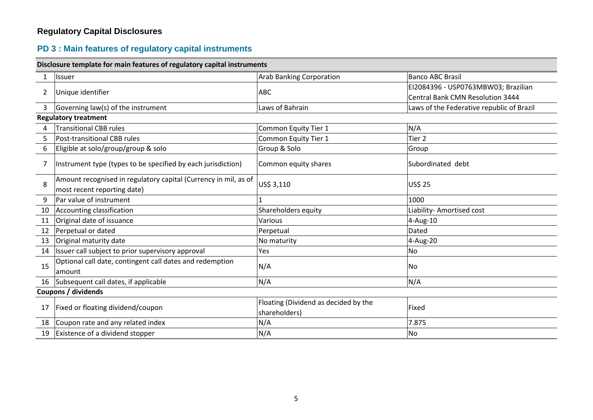# **PD 3 : Main features of regulatory capital instruments**

|                     | Disclosure template for main features of regulatory capital instruments                        |                                                       |                                           |  |  |
|---------------------|------------------------------------------------------------------------------------------------|-------------------------------------------------------|-------------------------------------------|--|--|
| $\mathbf{1}$        | Issuer                                                                                         | <b>Arab Banking Corporation</b>                       | <b>Banco ABC Brasil</b>                   |  |  |
|                     |                                                                                                |                                                       | EI2084396 - USP0763MBW03; Brazilian       |  |  |
| $\overline{2}$      | Unique identifier                                                                              | <b>ABC</b>                                            | <b>Central Bank CMN Resolution 3444</b>   |  |  |
| $\mathbf{3}$        | Governing law(s) of the instrument                                                             | Laws of Bahrain                                       | Laws of the Federative republic of Brazil |  |  |
|                     | <b>Regulatory treatment</b>                                                                    |                                                       |                                           |  |  |
| 4                   | <b>Transitional CBB rules</b>                                                                  | Common Equity Tier 1                                  | N/A                                       |  |  |
| 5                   | Post-transitional CBB rules                                                                    | Common Equity Tier 1                                  | Tier <sub>2</sub>                         |  |  |
| 6                   | Eligible at solo/group/group & solo                                                            | Group & Solo                                          | Group                                     |  |  |
| 7                   | Instrument type (types to be specified by each jurisdiction)                                   | Common equity shares                                  | Subordinated debt                         |  |  |
| 8                   | Amount recognised in regulatory capital (Currency in mil, as of<br>most recent reporting date) | US\$ 3,110                                            | <b>US\$ 25</b>                            |  |  |
| 9                   | Par value of instrument                                                                        |                                                       | 1000                                      |  |  |
| 10                  | Accounting classification                                                                      | Shareholders equity                                   | Liability- Amortised cost                 |  |  |
| 11                  | Original date of issuance                                                                      | Various                                               | 4-Aug-10                                  |  |  |
| 12                  | Perpetual or dated                                                                             | Perpetual                                             | Dated                                     |  |  |
| 13                  | Original maturity date                                                                         | No maturity                                           | 4-Aug-20                                  |  |  |
| 14                  | Issuer call subject to prior supervisory approval                                              | Yes                                                   | <b>No</b>                                 |  |  |
| 15                  | Optional call date, contingent call dates and redemption<br>amount                             | N/A                                                   | No                                        |  |  |
|                     | 16 Subsequent call dates, if applicable                                                        | N/A                                                   | N/A                                       |  |  |
| Coupons / dividends |                                                                                                |                                                       |                                           |  |  |
| 17                  | Fixed or floating dividend/coupon                                                              | Floating (Dividend as decided by the<br>shareholders) | Fixed                                     |  |  |
|                     | 18 Coupon rate and any related index                                                           | N/A                                                   | 7.875                                     |  |  |
| 19                  | Existence of a dividend stopper                                                                | N/A                                                   | No                                        |  |  |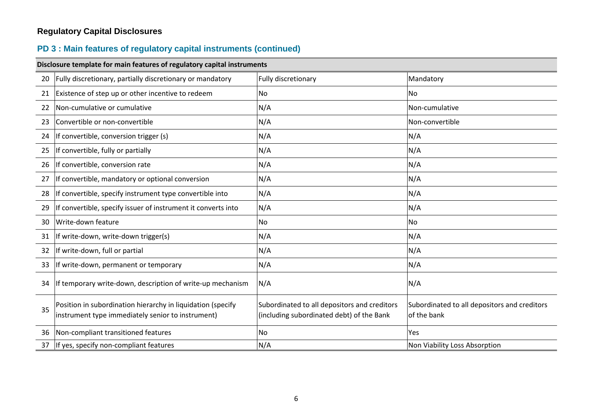# **PD 3 : Main features of regulatory capital instruments (continued)**

|    | Disclosure template for main features of regulatory capital instruments                                          |                                                                                           |                                                             |  |  |
|----|------------------------------------------------------------------------------------------------------------------|-------------------------------------------------------------------------------------------|-------------------------------------------------------------|--|--|
| 20 | Fully discretionary, partially discretionary or mandatory                                                        | Fully discretionary                                                                       | Mandatory                                                   |  |  |
| 21 | Existence of step up or other incentive to redeem                                                                | No                                                                                        | No.                                                         |  |  |
| 22 | Non-cumulative or cumulative                                                                                     | N/A                                                                                       | Non-cumulative                                              |  |  |
| 23 | Convertible or non-convertible                                                                                   | N/A                                                                                       | Non-convertible                                             |  |  |
| 24 | If convertible, conversion trigger (s)                                                                           | N/A                                                                                       | N/A                                                         |  |  |
| 25 | If convertible, fully or partially                                                                               | N/A                                                                                       | N/A                                                         |  |  |
| 26 | If convertible, conversion rate                                                                                  | N/A                                                                                       | N/A                                                         |  |  |
| 27 | If convertible, mandatory or optional conversion                                                                 | N/A                                                                                       | N/A                                                         |  |  |
| 28 | If convertible, specify instrument type convertible into                                                         | N/A                                                                                       | N/A                                                         |  |  |
| 29 | If convertible, specify issuer of instrument it converts into                                                    | N/A                                                                                       | N/A                                                         |  |  |
| 30 | Write-down feature                                                                                               | No                                                                                        | No                                                          |  |  |
| 31 | If write-down, write-down trigger(s)                                                                             | N/A                                                                                       | N/A                                                         |  |  |
| 32 | If write-down, full or partial                                                                                   | N/A                                                                                       | N/A                                                         |  |  |
| 33 | If write-down, permanent or temporary                                                                            | N/A                                                                                       | N/A                                                         |  |  |
| 34 | If temporary write-down, description of write-up mechanism                                                       | N/A                                                                                       | N/A                                                         |  |  |
| 35 | Position in subordination hierarchy in liquidation (specify<br>instrument type immediately senior to instrument) | Subordinated to all depositors and creditors<br>(including subordinated debt) of the Bank | Subordinated to all depositors and creditors<br>of the bank |  |  |
| 36 | Non-compliant transitioned features                                                                              | No                                                                                        | Yes.                                                        |  |  |
| 37 | If yes, specify non-compliant features                                                                           | N/A                                                                                       | Non Viability Loss Absorption                               |  |  |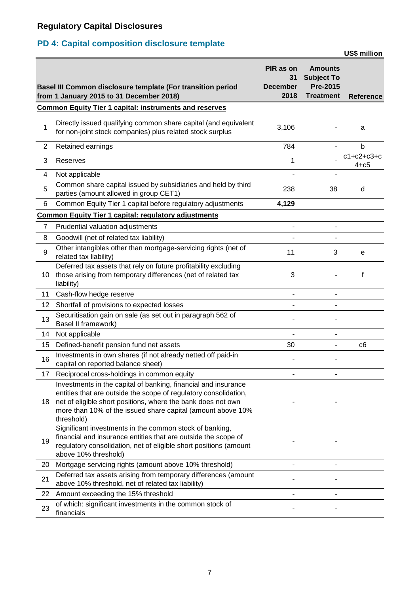# **PD 4: Capital composition disclosure template**

|              |                                                                                                                                                                                                                                                                                 |                                     |                                                                            | <b>US\$ million</b>      |
|--------------|---------------------------------------------------------------------------------------------------------------------------------------------------------------------------------------------------------------------------------------------------------------------------------|-------------------------------------|----------------------------------------------------------------------------|--------------------------|
|              | Basel III Common disclosure template (For transition period<br>from 1 January 2015 to 31 December 2018)                                                                                                                                                                         | PIR as on<br>31<br>December<br>2018 | <b>Amounts</b><br><b>Subject To</b><br><b>Pre-2015</b><br><b>Treatment</b> | <b>Reference</b>         |
|              | <b>Common Equity Tier 1 capital: instruments and reserves</b>                                                                                                                                                                                                                   |                                     |                                                                            |                          |
| 1            | Directly issued qualifying common share capital (and equivalent<br>for non-joint stock companies) plus related stock surplus                                                                                                                                                    | 3,106                               |                                                                            | a                        |
| $\mathbf{2}$ | Retained earnings                                                                                                                                                                                                                                                               | 784                                 | $\blacksquare$                                                             | b                        |
| 3            | Reserves                                                                                                                                                                                                                                                                        | 1                                   |                                                                            | $c1+c2+c3+c$<br>$4 + c5$ |
| 4            | Not applicable                                                                                                                                                                                                                                                                  |                                     |                                                                            |                          |
| 5            | Common share capital issued by subsidiaries and held by third<br>parties (amount allowed in group CET1)                                                                                                                                                                         | 238                                 | 38                                                                         | d                        |
| 6            | Common Equity Tier 1 capital before regulatory adjustments                                                                                                                                                                                                                      | 4,129                               |                                                                            |                          |
|              | <b>Common Equity Tier 1 capital: regulatory adjustments</b>                                                                                                                                                                                                                     |                                     |                                                                            |                          |
| 7            | Prudential valuation adjustments                                                                                                                                                                                                                                                |                                     |                                                                            |                          |
| 8            | Goodwill (net of related tax liability)                                                                                                                                                                                                                                         |                                     |                                                                            |                          |
| 9            | Other intangibles other than mortgage-servicing rights (net of<br>related tax liability)                                                                                                                                                                                        | 11                                  | 3                                                                          | е                        |
| 10           | Deferred tax assets that rely on future profitability excluding<br>those arising from temporary differences (net of related tax<br>liability)                                                                                                                                   | 3                                   |                                                                            | f                        |
| 11           | Cash-flow hedge reserve                                                                                                                                                                                                                                                         |                                     |                                                                            |                          |
| 12           | Shortfall of provisions to expected losses                                                                                                                                                                                                                                      |                                     |                                                                            |                          |
| 13           | Securitisation gain on sale (as set out in paragraph 562 of<br>Basel II framework)                                                                                                                                                                                              |                                     |                                                                            |                          |
| 14           | Not applicable                                                                                                                                                                                                                                                                  |                                     |                                                                            |                          |
| 15           | Defined-benefit pension fund net assets                                                                                                                                                                                                                                         | 30                                  | -                                                                          | c6                       |
| 16           | Investments in own shares (if not already netted off paid-in<br>capital on reported balance sheet)                                                                                                                                                                              |                                     |                                                                            |                          |
| 17           | Reciprocal cross-holdings in common equity                                                                                                                                                                                                                                      |                                     |                                                                            |                          |
| 18           | Investments in the capital of banking, financial and insurance<br>entities that are outside the scope of regulatory consolidation,<br>net of eligible short positions, where the bank does not own<br>more than 10% of the issued share capital (amount above 10%<br>threshold) |                                     |                                                                            |                          |
| 19           | Significant investments in the common stock of banking,<br>financial and insurance entities that are outside the scope of<br>regulatory consolidation, net of eligible short positions (amount<br>above 10% threshold)                                                          |                                     |                                                                            |                          |
| 20           | Mortgage servicing rights (amount above 10% threshold)                                                                                                                                                                                                                          |                                     |                                                                            |                          |
| 21           | Deferred tax assets arising from temporary differences (amount<br>above 10% threshold, net of related tax liability)                                                                                                                                                            |                                     |                                                                            |                          |
| 22           | Amount exceeding the 15% threshold                                                                                                                                                                                                                                              |                                     |                                                                            |                          |
| 23           | of which: significant investments in the common stock of<br>financials                                                                                                                                                                                                          |                                     |                                                                            |                          |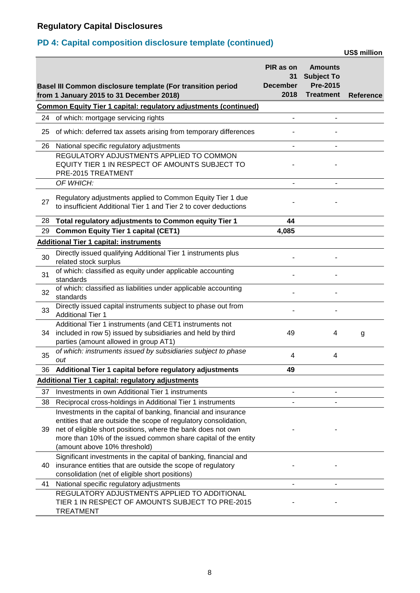# **PD 4: Capital composition disclosure template (continued)**

**US\$ million**

|    | Basel III Common disclosure template (For transition period<br>from 1 January 2015 to 31 December 2018)                                                                                            | PIR as on<br>31<br><b>December</b><br>2018 | <b>Amounts</b><br><b>Subject To</b><br><b>Pre-2015</b><br><b>Treatment</b> | Reference |
|----|----------------------------------------------------------------------------------------------------------------------------------------------------------------------------------------------------|--------------------------------------------|----------------------------------------------------------------------------|-----------|
|    | <b>Common Equity Tier 1 capital: regulatory adjustments (continued)</b>                                                                                                                            |                                            |                                                                            |           |
| 24 | of which: mortgage servicing rights                                                                                                                                                                |                                            |                                                                            |           |
| 25 | of which: deferred tax assets arising from temporary differences                                                                                                                                   |                                            |                                                                            |           |
| 26 | National specific regulatory adjustments                                                                                                                                                           |                                            |                                                                            |           |
|    | REGULATORY ADJUSTMENTS APPLIED TO COMMON<br>EQUITY TIER 1 IN RESPECT OF AMOUNTS SUBJECT TO<br>PRE-2015 TREATMENT                                                                                   |                                            |                                                                            |           |
|    | OF WHICH:                                                                                                                                                                                          |                                            |                                                                            |           |
| 27 | Regulatory adjustments applied to Common Equity Tier 1 due<br>to insufficient Additional Tier 1 and Tier 2 to cover deductions                                                                     |                                            |                                                                            |           |
| 28 | Total regulatory adjustments to Common equity Tier 1                                                                                                                                               | 44                                         |                                                                            |           |
| 29 | <b>Common Equity Tier 1 capital (CET1)</b>                                                                                                                                                         | 4,085                                      |                                                                            |           |
|    | <b>Additional Tier 1 capital: instruments</b>                                                                                                                                                      |                                            |                                                                            |           |
| 30 | Directly issued qualifying Additional Tier 1 instruments plus<br>related stock surplus                                                                                                             |                                            |                                                                            |           |
| 31 | of which: classified as equity under applicable accounting<br>standards                                                                                                                            |                                            |                                                                            |           |
| 32 | of which: classified as liabilities under applicable accounting<br>standards                                                                                                                       |                                            |                                                                            |           |
| 33 | Directly issued capital instruments subject to phase out from<br><b>Additional Tier 1</b>                                                                                                          |                                            |                                                                            |           |
| 34 | Additional Tier 1 instruments (and CET1 instruments not<br>included in row 5) issued by subsidiaries and held by third<br>parties (amount allowed in group AT1)                                    | 49                                         | 4                                                                          | g         |
| 35 | of which: instruments issued by subsidiaries subject to phase<br>out                                                                                                                               | 4                                          | 4                                                                          |           |
| 36 | Additional Tier 1 capital before regulatory adjustments                                                                                                                                            | 49                                         |                                                                            |           |
|    | <b>Additional Tier 1 capital: regulatory adjustments</b>                                                                                                                                           |                                            |                                                                            |           |
| 37 | Investments in own Additional Tier 1 instruments                                                                                                                                                   |                                            |                                                                            |           |
| 38 | Reciprocal cross-holdings in Additional Tier 1 instruments                                                                                                                                         |                                            |                                                                            |           |
| 39 | Investments in the capital of banking, financial and insurance<br>entities that are outside the scope of regulatory consolidation,<br>net of eligible short positions, where the bank does not own |                                            |                                                                            |           |
|    | more than 10% of the issued common share capital of the entity<br>(amount above 10% threshold)                                                                                                     |                                            |                                                                            |           |
|    | Significant investments in the capital of banking, financial and                                                                                                                                   |                                            |                                                                            |           |
| 40 | insurance entities that are outside the scope of regulatory                                                                                                                                        |                                            |                                                                            |           |
|    | consolidation (net of eligible short positions)                                                                                                                                                    |                                            |                                                                            |           |
| 41 | National specific regulatory adjustments                                                                                                                                                           |                                            |                                                                            |           |
|    | REGULATORY ADJUSTMENTS APPLIED TO ADDITIONAL<br>TIER 1 IN RESPECT OF AMOUNTS SUBJECT TO PRE-2015<br><b>TREATMENT</b>                                                                               |                                            |                                                                            |           |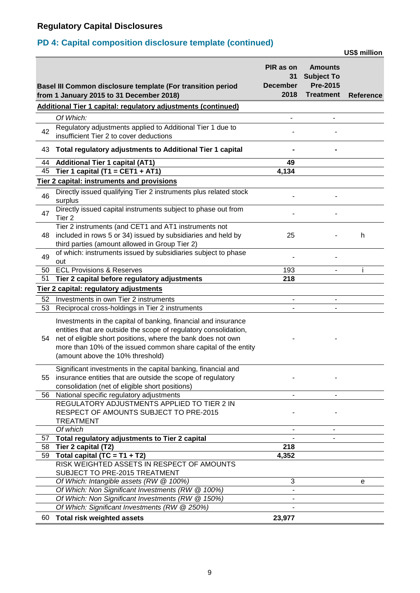# **PD 4: Capital composition disclosure template (continued)**

**US\$ million**

|    | Basel III Common disclosure template (For transition period<br>from 1 January 2015 to 31 December 2018)                                                                                                                                                                                                  | PIR as on<br>31<br><b>December</b><br>2018 | <b>Amounts</b><br><b>Subject To</b><br><b>Pre-2015</b><br><b>Treatment</b> | <b>Reference</b> |
|----|----------------------------------------------------------------------------------------------------------------------------------------------------------------------------------------------------------------------------------------------------------------------------------------------------------|--------------------------------------------|----------------------------------------------------------------------------|------------------|
|    | <b>Additional Tier 1 capital: regulatory adjustments (continued)</b>                                                                                                                                                                                                                                     |                                            |                                                                            |                  |
|    | Of Which:                                                                                                                                                                                                                                                                                                |                                            |                                                                            |                  |
| 42 | Regulatory adjustments applied to Additional Tier 1 due to<br>insufficient Tier 2 to cover deductions                                                                                                                                                                                                    |                                            |                                                                            |                  |
| 43 | Total regulatory adjustments to Additional Tier 1 capital                                                                                                                                                                                                                                                |                                            |                                                                            |                  |
| 44 | <b>Additional Tier 1 capital (AT1)</b>                                                                                                                                                                                                                                                                   | 49                                         |                                                                            |                  |
| 45 | Tier 1 capital (T1 = CET1 + AT1)                                                                                                                                                                                                                                                                         | 4,134                                      |                                                                            |                  |
|    | Tier 2 capital: instruments and provisions                                                                                                                                                                                                                                                               |                                            |                                                                            |                  |
| 46 | Directly issued qualifying Tier 2 instruments plus related stock<br>surplus                                                                                                                                                                                                                              |                                            |                                                                            |                  |
| 47 | Directly issued capital instruments subject to phase out from<br>Tier 2                                                                                                                                                                                                                                  |                                            |                                                                            |                  |
| 48 | Tier 2 instruments (and CET1 and AT1 instruments not<br>included in rows 5 or 34) issued by subsidiaries and held by<br>third parties (amount allowed in Group Tier 2)                                                                                                                                   | 25                                         |                                                                            | h                |
| 49 | of which: instruments issued by subsidiaries subject to phase<br>out                                                                                                                                                                                                                                     |                                            |                                                                            |                  |
| 50 | <b>ECL Provisions &amp; Reserves</b>                                                                                                                                                                                                                                                                     | 193                                        | $\blacksquare$                                                             | i.               |
| 51 | Tier 2 capital before regulatory adjustments                                                                                                                                                                                                                                                             | 218                                        |                                                                            |                  |
|    | Tier 2 capital: regulatory adjustments                                                                                                                                                                                                                                                                   |                                            |                                                                            |                  |
| 52 | Investments in own Tier 2 instruments                                                                                                                                                                                                                                                                    | $\overline{\phantom{0}}$                   | -                                                                          |                  |
| 53 | Reciprocal cross-holdings in Tier 2 instruments                                                                                                                                                                                                                                                          |                                            |                                                                            |                  |
| 54 | Investments in the capital of banking, financial and insurance<br>entities that are outside the scope of regulatory consolidation,<br>net of eligible short positions, where the bank does not own<br>more than 10% of the issued common share capital of the entity<br>(amount above the 10% threshold) |                                            |                                                                            |                  |
|    | Significant investments in the capital banking, financial and                                                                                                                                                                                                                                            |                                            |                                                                            |                  |
| 55 | insurance entities that are outside the scope of regulatory                                                                                                                                                                                                                                              |                                            |                                                                            |                  |
|    | consolidation (net of eligible short positions)                                                                                                                                                                                                                                                          |                                            |                                                                            |                  |
| 56 | National specific regulatory adjustments                                                                                                                                                                                                                                                                 |                                            |                                                                            |                  |
|    | REGULATORY ADJUSTMENTS APPLIED TO TIER 2 IN<br>RESPECT OF AMOUNTS SUBJECT TO PRE-2015<br><b>TREATMENT</b>                                                                                                                                                                                                |                                            |                                                                            |                  |
|    | Of which                                                                                                                                                                                                                                                                                                 | $\overline{\phantom{a}}$                   | $\overline{\phantom{a}}$                                                   |                  |
| 57 | Total regulatory adjustments to Tier 2 capital                                                                                                                                                                                                                                                           |                                            |                                                                            |                  |
| 58 | Tier 2 capital (T2)                                                                                                                                                                                                                                                                                      | 218                                        |                                                                            |                  |
| 59 | Total capital $(TC = T1 + T2)$<br>RISK WEIGHTED ASSETS IN RESPECT OF AMOUNTS<br>SUBJECT TO PRE-2015 TREATMENT                                                                                                                                                                                            | 4,352                                      |                                                                            |                  |
|    | Of Which: Intangible assets (RW @ 100%)                                                                                                                                                                                                                                                                  | 3                                          |                                                                            | е                |
|    | Of Which: Non Significant Investments (RW @ 100%)                                                                                                                                                                                                                                                        |                                            |                                                                            |                  |
|    | Of Which: Non Significant Investments (RW @ 150%)<br>Of Which: Significant Investments (RW @ 250%)                                                                                                                                                                                                       |                                            |                                                                            |                  |
| 60 | <b>Total risk weighted assets</b>                                                                                                                                                                                                                                                                        | 23,977                                     |                                                                            |                  |